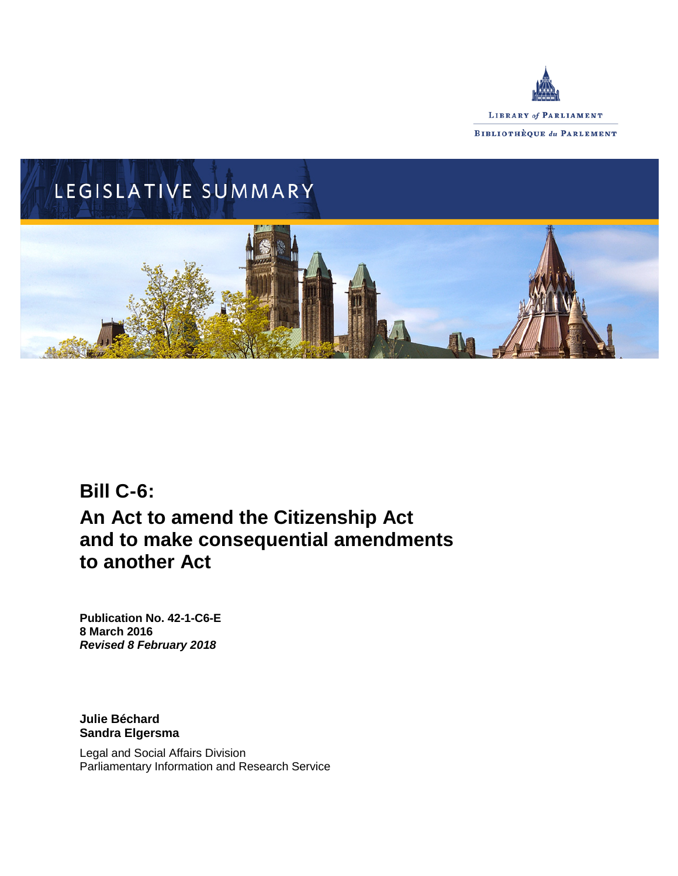



# **Bill C-6: An Act to amend the Citizenship Act and to make consequential amendments to another Act**

**Publication No. 42-1-C6-E 8 March 2016** *Revised 8 February 2018*

**Julie Béchard Sandra Elgersma**

Legal and Social Affairs Division Parliamentary Information and Research Service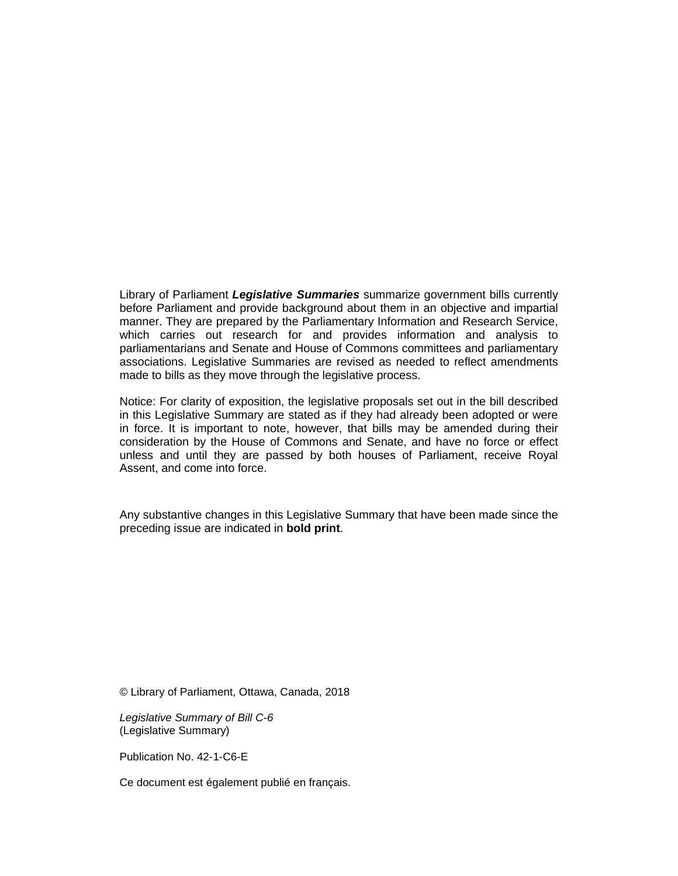Library of Parliament *Legislative Summaries* summarize government bills currently before Parliament and provide background about them in an objective and impartial manner. They are prepared by the Parliamentary Information and Research Service, which carries out research for and provides information and analysis to parliamentarians and Senate and House of Commons committees and parliamentary associations. Legislative Summaries are revised as needed to reflect amendments made to bills as they move through the legislative process.

Notice: For clarity of exposition, the legislative proposals set out in the bill described in this Legislative Summary are stated as if they had already been adopted or were in force. It is important to note, however, that bills may be amended during their consideration by the House of Commons and Senate, and have no force or effect unless and until they are passed by both houses of Parliament, receive Royal Assent, and come into force.

Any substantive changes in this Legislative Summary that have been made since the preceding issue are indicated in **bold print**.

© Library of Parliament, Ottawa, Canada, 2018

*Legislative Summary of Bill C-6* (Legislative Summary)

Publication No. 42-1-C6-E

Ce document est également publié en français.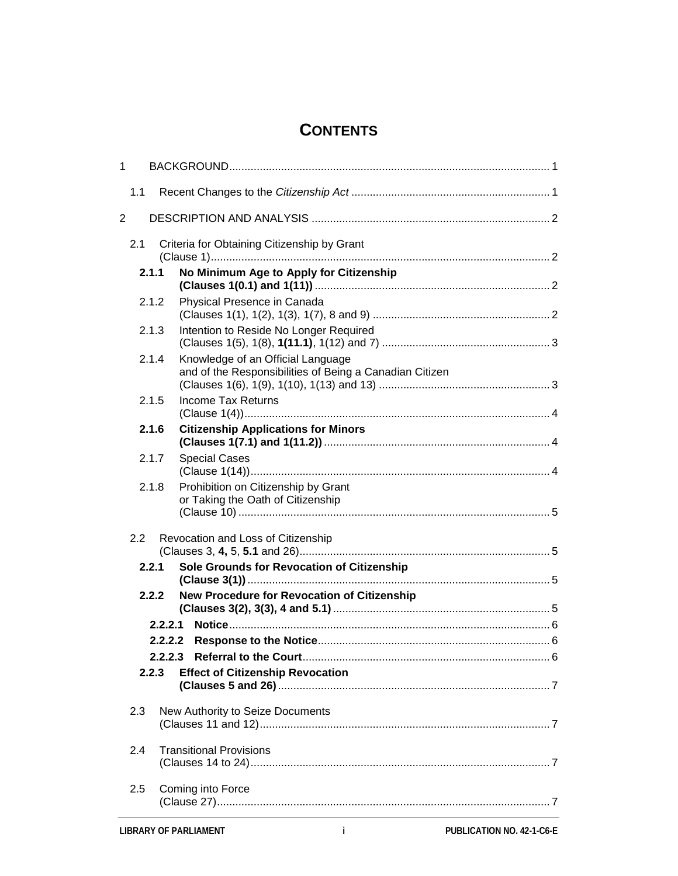# **CONTENTS**

| 1                                                |                                                                                              |  |
|--------------------------------------------------|----------------------------------------------------------------------------------------------|--|
| 1.1                                              |                                                                                              |  |
| $\overline{2}$                                   |                                                                                              |  |
| 2.1                                              | Criteria for Obtaining Citizenship by Grant                                                  |  |
| 2.1.1                                            | No Minimum Age to Apply for Citizenship                                                      |  |
| 2.1.2                                            | Physical Presence in Canada                                                                  |  |
| 2.1.3                                            | Intention to Reside No Longer Required                                                       |  |
| 2.1.4                                            | Knowledge of an Official Language<br>and of the Responsibilities of Being a Canadian Citizen |  |
| 2.1.5                                            | <b>Income Tax Returns</b>                                                                    |  |
| 2.1.6                                            | <b>Citizenship Applications for Minors</b>                                                   |  |
| 2.1.7                                            | <b>Special Cases</b>                                                                         |  |
| 2.1.8                                            | Prohibition on Citizenship by Grant<br>or Taking the Oath of Citizenship                     |  |
| 2.2                                              | Revocation and Loss of Citizenship                                                           |  |
| 2.2.1                                            | Sole Grounds for Revocation of Citizenship                                                   |  |
| 2.2.2                                            | New Procedure for Revocation of Citizenship                                                  |  |
| 2.2.2.1                                          |                                                                                              |  |
|                                                  |                                                                                              |  |
|                                                  |                                                                                              |  |
| <b>Effect of Citizenship Revocation</b><br>2.2.3 |                                                                                              |  |
| 2.3                                              | New Authority to Seize Documents                                                             |  |
|                                                  |                                                                                              |  |
| 2.4                                              | <b>Transitional Provisions</b>                                                               |  |
| Coming into Force<br>2.5                         |                                                                                              |  |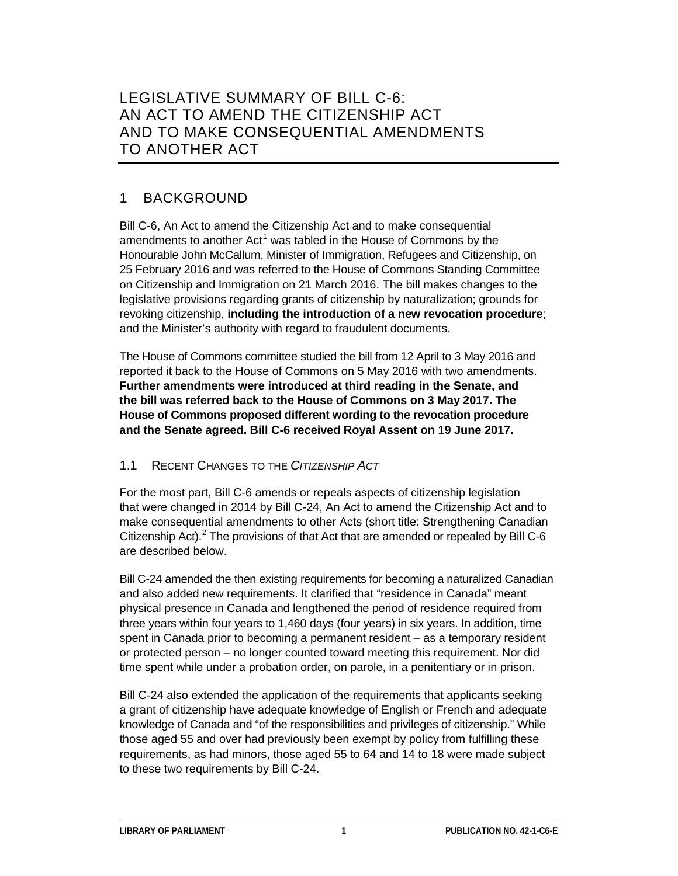### 1 BACKGROUND

Bill C-6, An Act to amend the Citizenship Act and to make consequential amendments to another  $Act<sup>1</sup>$  $Act<sup>1</sup>$  $Act<sup>1</sup>$  was tabled in the House of Commons by the Honourable John McCallum, Minister of Immigration, Refugees and Citizenship, on 25 February 2016 and was referred to the House of Commons Standing Committee on Citizenship and Immigration on 21 March 2016. The bill makes changes to the legislative provisions regarding grants of citizenship by naturalization; grounds for revoking citizenship, **including the introduction of a new revocation procedure**; and the Minister's authority with regard to fraudulent documents.

The House of Commons committee studied the bill from 12 April to 3 May 2016 and reported it back to the House of Commons on 5 May 2016 with two amendments. **Further amendments were introduced at third reading in the Senate, and the bill was referred back to the House of Commons on 3 May 2017. The House of Commons proposed different wording to the revocation procedure and the Senate agreed. Bill C-6 received Royal Assent on 19 June 2017.**

#### 1.1 RECENT CHANGES TO THE *CITIZENSHIP ACT*

For the most part, Bill C-6 amends or repeals aspects of citizenship legislation that were changed in 2014 by Bill C-24, An Act to amend the Citizenship Act and to make consequential amendments to other Acts (short title: Strengthening Canadian Citizenship Act).<sup>[2](#page-11-1)</sup> The provisions of that Act that are amended or repealed by Bill C-6 are described below.

Bill C-24 amended the then existing requirements for becoming a naturalized Canadian and also added new requirements. It clarified that "residence in Canada" meant physical presence in Canada and lengthened the period of residence required from three years within four years to 1,460 days (four years) in six years. In addition, time spent in Canada prior to becoming a permanent resident – as a temporary resident or protected person – no longer counted toward meeting this requirement. Nor did time spent while under a probation order, on parole, in a penitentiary or in prison.

Bill C-24 also extended the application of the requirements that applicants seeking a grant of citizenship have adequate knowledge of English or French and adequate knowledge of Canada and "of the responsibilities and privileges of citizenship." While those aged 55 and over had previously been exempt by policy from fulfilling these requirements, as had minors, those aged 55 to 64 and 14 to 18 were made subject to these two requirements by Bill C-24.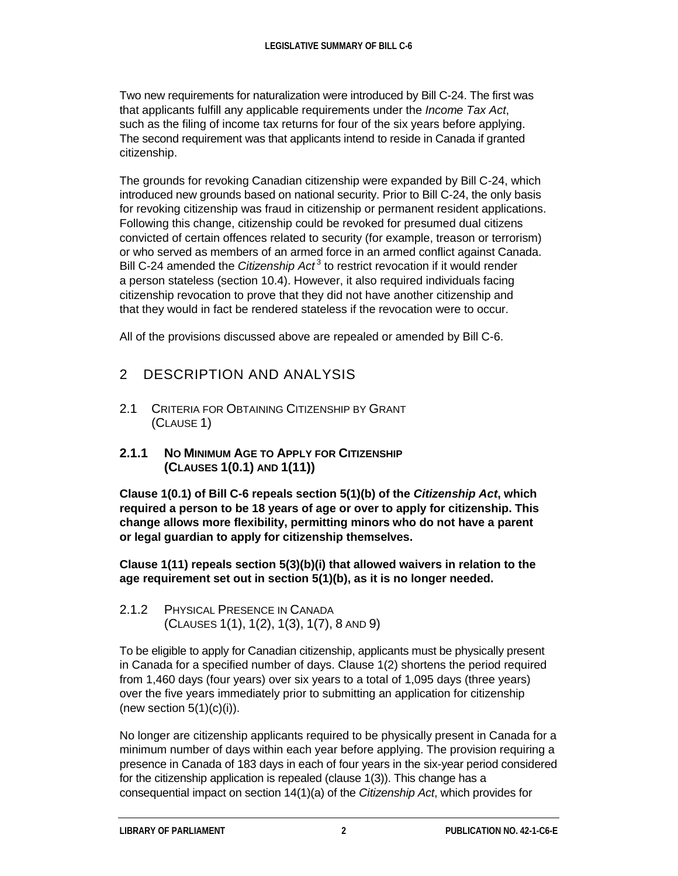Two new requirements for naturalization were introduced by Bill C-24. The first was that applicants fulfill any applicable requirements under the *Income Tax Act*, such as the filing of income tax returns for four of the six years before applying. The second requirement was that applicants intend to reside in Canada if granted citizenship.

The grounds for revoking Canadian citizenship were expanded by Bill C-24, which introduced new grounds based on national security. Prior to Bill C-24, the only basis for revoking citizenship was fraud in citizenship or permanent resident applications. Following this change, citizenship could be revoked for presumed dual citizens convicted of certain offences related to security (for example, treason or terrorism) or who served as members of an armed force in an armed conflict against Canada. Bill C-24 amended the *Citizenship Act*<sup>[3](#page-11-2)</sup> to restrict revocation if it would render a person stateless (section 10.4). However, it also required individuals facing citizenship revocation to prove that they did not have another citizenship and that they would in fact be rendered stateless if the revocation were to occur.

All of the provisions discussed above are repealed or amended by Bill C-6.

## 2 DESCRIPTION AND ANALYSIS

- 2.1 CRITERIA FOR OBTAINING CITIZENSHIP BY GRANT (CLAUSE 1)
- **2.1.1 NO MINIMUM AGE TO APPLY FOR CITIZENSHIP (CLAUSES 1(0.1) AND 1(11))**

**Clause 1(0.1) of Bill C-6 repeals section 5(1)(b) of the** *Citizenship Act***, which required a person to be 18 years of age or over to apply for citizenship. This change allows more flexibility, permitting minors who do not have a parent or legal guardian to apply for citizenship themselves.**

**Clause 1(11) repeals section 5(3)(b)(i) that allowed waivers in relation to the age requirement set out in section 5(1)(b), as it is no longer needed.**

2.1.2 PHYSICAL PRESENCE IN CANADA (CLAUSES 1(1), 1(2), 1(3), 1(7), 8 AND 9)

To be eligible to apply for Canadian citizenship, applicants must be physically present in Canada for a specified number of days. Clause 1(2) shortens the period required from 1,460 days (four years) over six years to a total of 1,095 days (three years) over the five years immediately prior to submitting an application for citizenship (new section  $5(1)(c)(i)$ ).

No longer are citizenship applicants required to be physically present in Canada for a minimum number of days within each year before applying. The provision requiring a presence in Canada of 183 days in each of four years in the six-year period considered for the citizenship application is repealed (clause 1(3)). This change has a consequential impact on section 14(1)(a) of the *Citizenship Act*, which provides for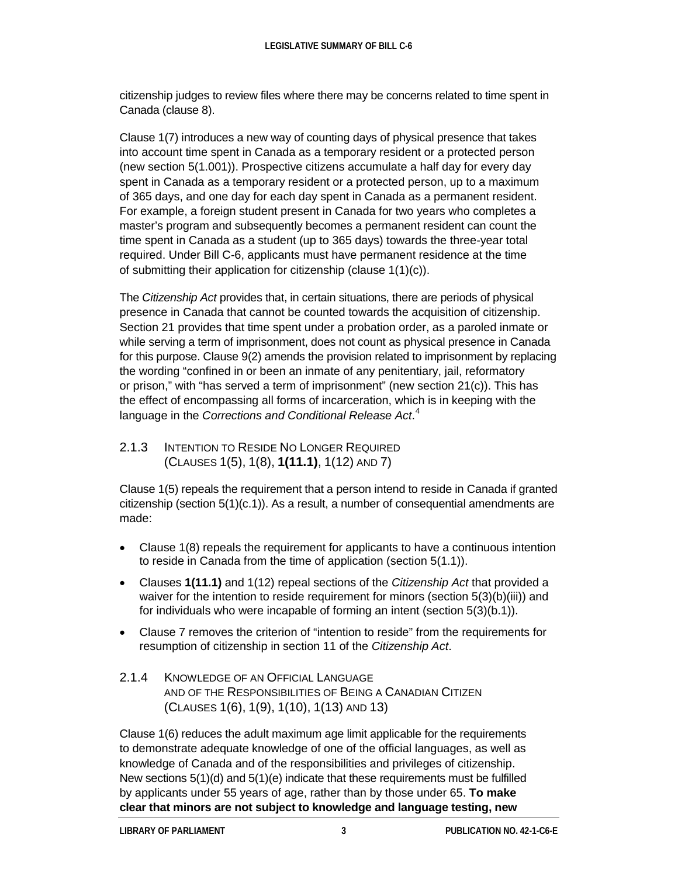citizenship judges to review files where there may be concerns related to time spent in Canada (clause 8).

Clause 1(7) introduces a new way of counting days of physical presence that takes into account time spent in Canada as a temporary resident or a protected person (new section 5(1.001)). Prospective citizens accumulate a half day for every day spent in Canada as a temporary resident or a protected person, up to a maximum of 365 days, and one day for each day spent in Canada as a permanent resident. For example, a foreign student present in Canada for two years who completes a master's program and subsequently becomes a permanent resident can count the time spent in Canada as a student (up to 365 days) towards the three-year total required. Under Bill C-6, applicants must have permanent residence at the time of submitting their application for citizenship (clause 1(1)(c)).

The *Citizenship Act* provides that, in certain situations, there are periods of physical presence in Canada that cannot be counted towards the acquisition of citizenship. Section 21 provides that time spent under a probation order, as a paroled inmate or while serving a term of imprisonment, does not count as physical presence in Canada for this purpose. Clause 9(2) amends the provision related to imprisonment by replacing the wording "confined in or been an inmate of any penitentiary, jail, reformatory or prison," with "has served a term of imprisonment" (new section 21(c)). This has the effect of encompassing all forms of incarceration, which is in keeping with the language in the *Corrections and Conditional Release Act*. [4](#page-11-3)

2.1.3 INTENTION TO RESIDE NO LONGER REQUIRED (CLAUSES 1(5), 1(8), **1(11.1)**, 1(12) AND 7)

Clause 1(5) repeals the requirement that a person intend to reside in Canada if granted citizenship (section  $5(1)(c.1)$ ). As a result, a number of consequential amendments are made:

- Clause 1(8) repeals the requirement for applicants to have a continuous intention to reside in Canada from the time of application (section 5(1.1)).
- Clauses **1(11.1)** and 1(12) repeal sections of the *Citizenship Act* that provided a waiver for the intention to reside requirement for minors (section 5(3)(b)(iii)) and for individuals who were incapable of forming an intent (section 5(3)(b.1)).
- Clause 7 removes the criterion of "intention to reside" from the requirements for resumption of citizenship in section 11 of the *Citizenship Act*.

#### 2.1.4 KNOWLEDGE OF AN OFFICIAL LANGUAGE AND OF THE RESPONSIBILITIES OF BEING A CANADIAN CITIZEN (CLAUSES 1(6), 1(9), 1(10), 1(13) AND 13)

Clause 1(6) reduces the adult maximum age limit applicable for the requirements to demonstrate adequate knowledge of one of the official languages, as well as knowledge of Canada and of the responsibilities and privileges of citizenship. New sections 5(1)(d) and 5(1)(e) indicate that these requirements must be fulfilled by applicants under 55 years of age, rather than by those under 65. **To make clear that minors are not subject to knowledge and language testing, new**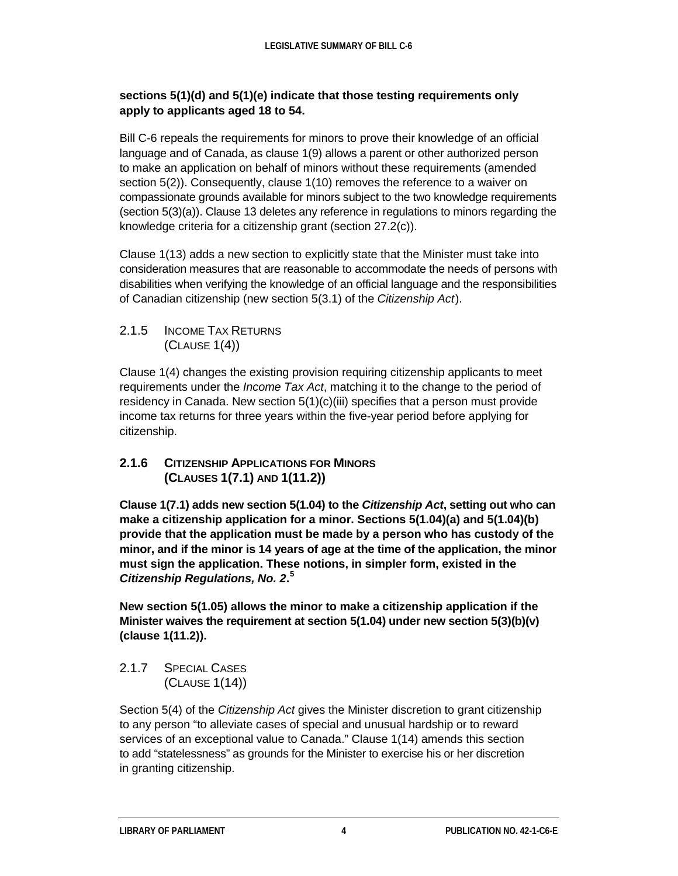#### **sections 5(1)(d) and 5(1)(e) indicate that those testing requirements only apply to applicants aged 18 to 54.**

Bill C-6 repeals the requirements for minors to prove their knowledge of an official language and of Canada, as clause 1(9) allows a parent or other authorized person to make an application on behalf of minors without these requirements (amended section 5(2)). Consequently, clause 1(10) removes the reference to a waiver on compassionate grounds available for minors subject to the two knowledge requirements (section 5(3)(a)). Clause 13 deletes any reference in regulations to minors regarding the knowledge criteria for a citizenship grant (section 27.2(c)).

Clause 1(13) adds a new section to explicitly state that the Minister must take into consideration measures that are reasonable to accommodate the needs of persons with disabilities when verifying the knowledge of an official language and the responsibilities of Canadian citizenship (new section 5(3.1) of the *Citizenship Act*).

2.1.5 INCOME TAX RETURNS (CLAUSE 1(4))

Clause 1(4) changes the existing provision requiring citizenship applicants to meet requirements under the *Income Tax Act*, matching it to the change to the period of residency in Canada. New section 5(1)(c)(iii) specifies that a person must provide income tax returns for three years within the five-year period before applying for citizenship.

#### **2.1.6 CITIZENSHIP APPLICATIONS FOR MINORS (CLAUSES 1(7.1) AND 1(11.2))**

**Clause 1(7.1) adds new section 5(1.04) to the** *Citizenship Act***, setting out who can make a citizenship application for a minor. Sections 5(1.04)(a) and 5(1.04)(b) provide that the application must be made by a person who has custody of the minor, and if the minor is 14 years of age at the time of the application, the minor must sign the application. These notions, in simpler form, existed in the**  *Citizenship Regulations, No. 2***. [5](#page-11-4)**

**New section 5(1.05) allows the minor to make a citizenship application if the Minister waives the requirement at section 5(1.04) under new section 5(3)(b)(v) (clause 1(11.2)).**

2.1.7 SPECIAL CASES (CLAUSE 1(14))

Section 5(4) of the *Citizenship Act* gives the Minister discretion to grant citizenship to any person "to alleviate cases of special and unusual hardship or to reward services of an exceptional value to Canada." Clause 1(14) amends this section to add "statelessness" as grounds for the Minister to exercise his or her discretion in granting citizenship.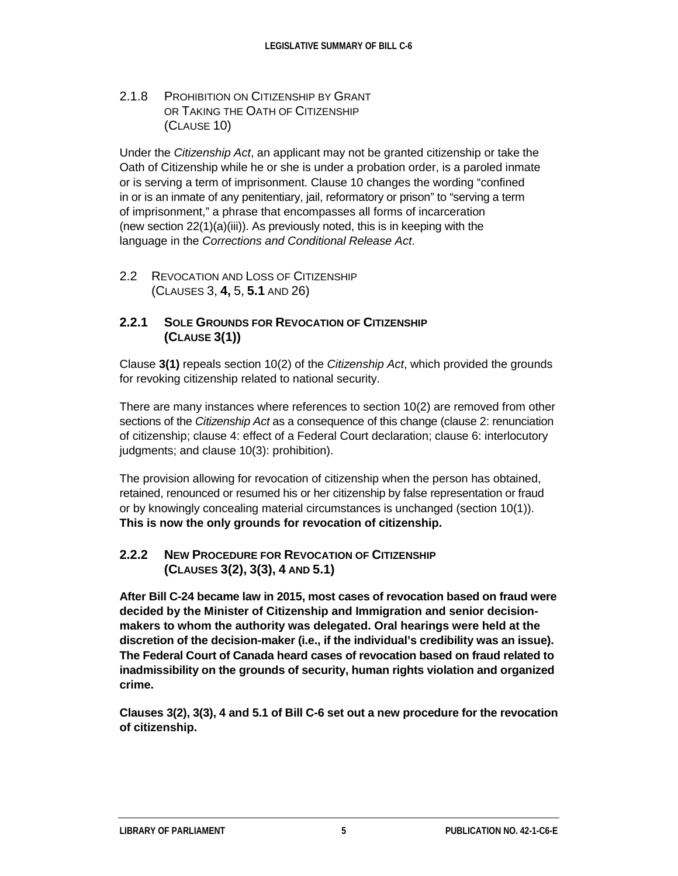2.1.8 PROHIBITION ON CITIZENSHIP BY GRANT OR TAKING THE OATH OF CITIZENSHIP (CLAUSE 10)

Under the *Citizenship Act*, an applicant may not be granted citizenship or take the Oath of Citizenship while he or she is under a probation order, is a paroled inmate or is serving a term of imprisonment. Clause 10 changes the wording "confined in or is an inmate of any penitentiary, jail, reformatory or prison" to "serving a term of imprisonment," a phrase that encompasses all forms of incarceration (new section 22(1)(a)(iii)). As previously noted, this is in keeping with the language in the *Corrections and Conditional Release Act*.

2.2 REVOCATION AND LOSS OF CITIZENSHIP (CLAUSES 3, **4,** 5, **5.1** AND 26)

#### **2.2.1 SOLE GROUNDS FOR REVOCATION OF CITIZENSHIP (CLAUSE 3(1))**

Clause **3(1)** repeals section 10(2) of the *Citizenship Act*, which provided the grounds for revoking citizenship related to national security.

There are many instances where references to section 10(2) are removed from other sections of the *Citizenship Act* as a consequence of this change (clause 2: renunciation of citizenship; clause 4: effect of a Federal Court declaration; clause 6: interlocutory judgments; and clause 10(3): prohibition).

The provision allowing for revocation of citizenship when the person has obtained, retained, renounced or resumed his or her citizenship by false representation or fraud or by knowingly concealing material circumstances is unchanged (section 10(1)). **This is now the only grounds for revocation of citizenship.**

#### **2.2.2 NEW PROCEDURE FOR REVOCATION OF CITIZENSHIP (CLAUSES 3(2), 3(3), 4 AND 5.1)**

**After Bill C-24 became law in 2015, most cases of revocation based on fraud were decided by the Minister of Citizenship and Immigration and senior decisionmakers to whom the authority was delegated. Oral hearings were held at the discretion of the decision-maker (i.e., if the individual's credibility was an issue). The Federal Court of Canada heard cases of revocation based on fraud related to inadmissibility on the grounds of security, human rights violation and organized crime.**

**Clauses 3(2), 3(3), 4 and 5.1 of Bill C-6 set out a new procedure for the revocation of citizenship.**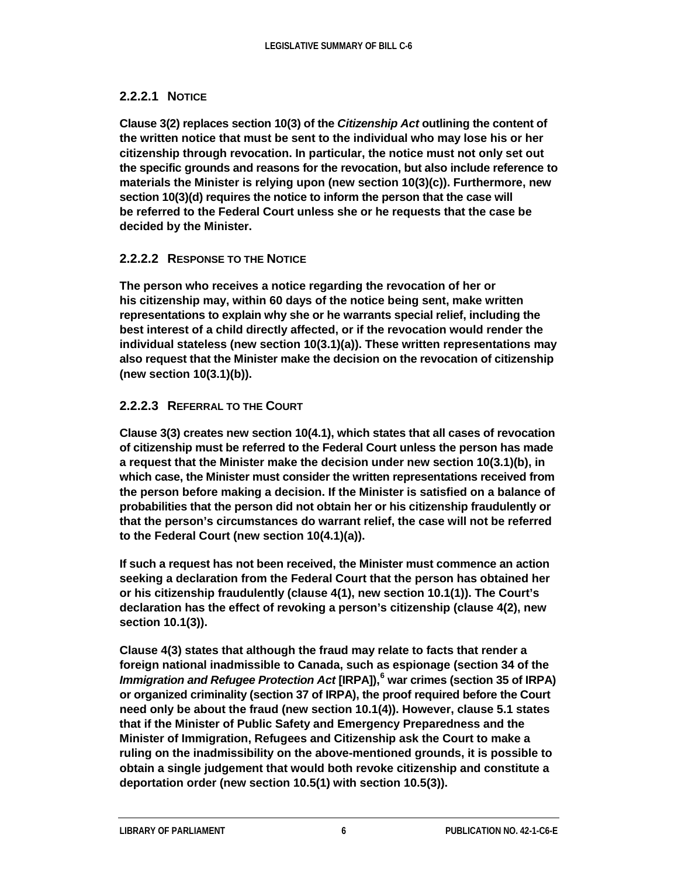#### **2.2.2.1 NOTICE**

**Clause 3(2) replaces section 10(3) of the** *Citizenship Act* **outlining the content of the written notice that must be sent to the individual who may lose his or her citizenship through revocation. In particular, the notice must not only set out the specific grounds and reasons for the revocation, but also include reference to materials the Minister is relying upon (new section 10(3)(c)). Furthermore, new section 10(3)(d) requires the notice to inform the person that the case will be referred to the Federal Court unless she or he requests that the case be decided by the Minister.**

#### **2.2.2.2 RESPONSE TO THE NOTICE**

**The person who receives a notice regarding the revocation of her or his citizenship may, within 60 days of the notice being sent, make written representations to explain why she or he warrants special relief, including the best interest of a child directly affected, or if the revocation would render the individual stateless (new section 10(3.1)(a)). These written representations may also request that the Minister make the decision on the revocation of citizenship (new section 10(3.1)(b)).**

#### **2.2.2.3 REFERRAL TO THE COURT**

**Clause 3(3) creates new section 10(4.1), which states that all cases of revocation of citizenship must be referred to the Federal Court unless the person has made a request that the Minister make the decision under new section 10(3.1)(b), in which case, the Minister must consider the written representations received from the person before making a decision. If the Minister is satisfied on a balance of probabilities that the person did not obtain her or his citizenship fraudulently or that the person's circumstances do warrant relief, the case will not be referred to the Federal Court (new section 10(4.1)(a)).**

**If such a request has not been received, the Minister must commence an action seeking a declaration from the Federal Court that the person has obtained her or his citizenship fraudulently (clause 4(1), new section 10.1(1)). The Court's declaration has the effect of revoking a person's citizenship (clause 4(2), new section 10.1(3)).**

**Clause 4(3) states that although the fraud may relate to facts that render a foreign national inadmissible to Canada, such as espionage (section 34 of the**  *Immigration and Refugee Protection Act* **[IRPA]),[6](#page-11-5) war crimes (section 35 of IRPA) or organized criminality (section 37 of IRPA), the proof required before the Court need only be about the fraud (new section 10.1(4)). However, clause 5.1 states that if the Minister of Public Safety and Emergency Preparedness and the Minister of Immigration, Refugees and Citizenship ask the Court to make a ruling on the inadmissibility on the above-mentioned grounds, it is possible to obtain a single judgement that would both revoke citizenship and constitute a deportation order (new section 10.5(1) with section 10.5(3)).**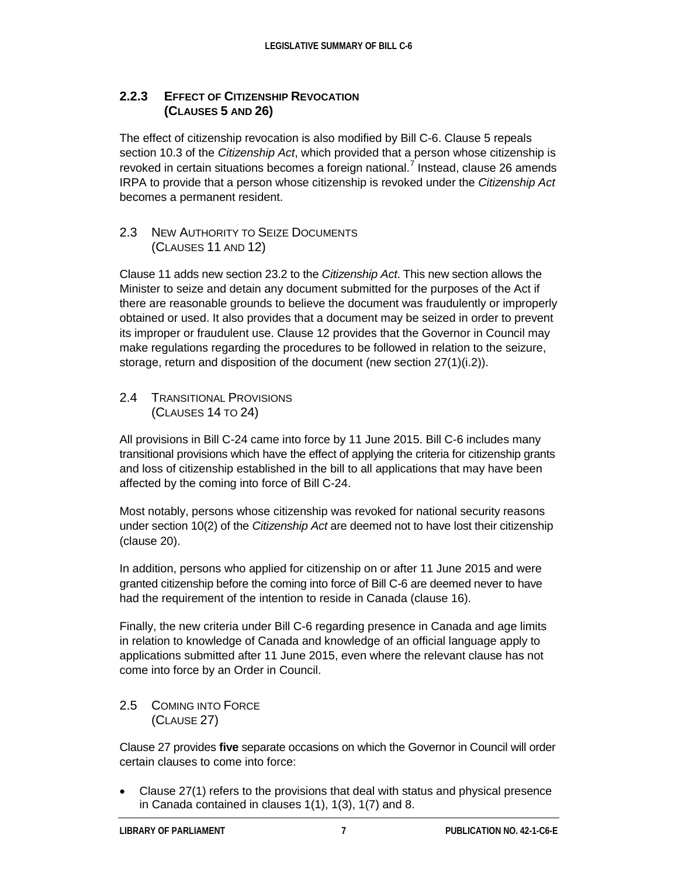#### **2.2.3 EFFECT OF CITIZENSHIP REVOCATION (CLAUSES 5 AND 26)**

The effect of citizenship revocation is also modified by Bill C-6. Clause 5 repeals section 10.3 of the *Citizenship Act*, which provided that a person whose citizenship is revoked in certain situations becomes a foreign national.<sup>[7](#page-11-6)</sup> Instead, clause 26 amends IRPA to provide that a person whose citizenship is revoked under the *Citizenship Act* becomes a permanent resident.

#### 2.3 NEW AUTHORITY TO SEIZE DOCUMENTS (CLAUSES 11 AND 12)

Clause 11 adds new section 23.2 to the *Citizenship Act*. This new section allows the Minister to seize and detain any document submitted for the purposes of the Act if there are reasonable grounds to believe the document was fraudulently or improperly obtained or used. It also provides that a document may be seized in order to prevent its improper or fraudulent use. Clause 12 provides that the Governor in Council may make regulations regarding the procedures to be followed in relation to the seizure, storage, return and disposition of the document (new section 27(1)(i.2)).

#### 2.4 TRANSITIONAL PROVISIONS (CLAUSES 14 TO 24)

All provisions in Bill C-24 came into force by 11 June 2015. Bill C-6 includes many transitional provisions which have the effect of applying the criteria for citizenship grants and loss of citizenship established in the bill to all applications that may have been affected by the coming into force of Bill C-24.

Most notably, persons whose citizenship was revoked for national security reasons under section 10(2) of the *Citizenship Act* are deemed not to have lost their citizenship (clause 20).

In addition, persons who applied for citizenship on or after 11 June 2015 and were granted citizenship before the coming into force of Bill C-6 are deemed never to have had the requirement of the intention to reside in Canada (clause 16).

Finally, the new criteria under Bill C-6 regarding presence in Canada and age limits in relation to knowledge of Canada and knowledge of an official language apply to applications submitted after 11 June 2015, even where the relevant clause has not come into force by an Order in Council.

#### 2.5 COMING INTO FORCE (CLAUSE 27)

Clause 27 provides **five** separate occasions on which the Governor in Council will order certain clauses to come into force:

• Clause 27(1) refers to the provisions that deal with status and physical presence in Canada contained in clauses 1(1), 1(3), 1(7) and 8.